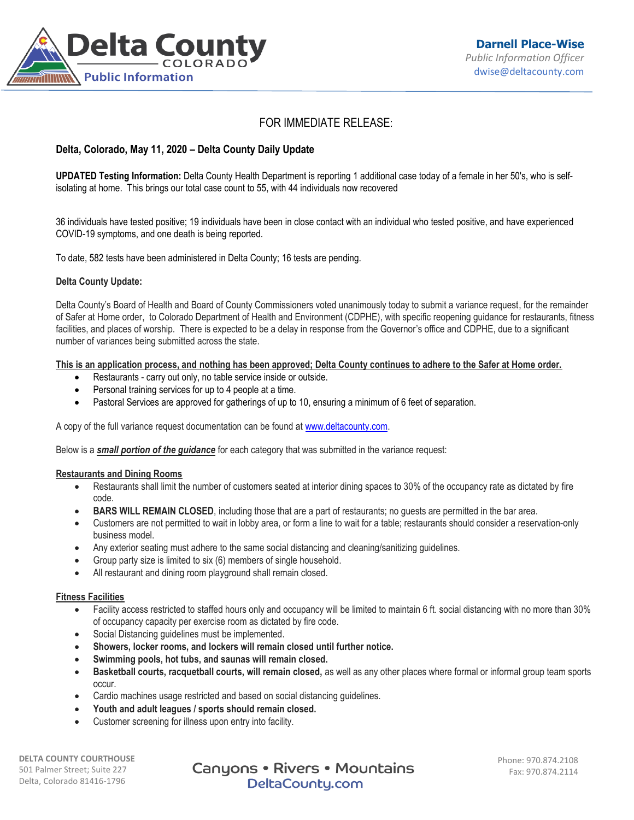

# FOR IMMEDIATE RELEASE:

# **Delta, Colorado, May 11, 2020 – Delta County Daily Update**

**UPDATED Testing Information:** Delta County Health Department is reporting 1 additional case today of a female in her 50's, who is selfisolating at home. This brings our total case count to 55, with 44 individuals now recovered

36 individuals have tested positive; 19 individuals have been in close contact with an individual who tested positive, and have experienced COVID-19 symptoms, and one death is being reported.

To date, 582 tests have been administered in Delta County; 16 tests are pending.

## **Delta County Update:**

Delta County's Board of Health and Board of County Commissioners voted unanimously today to submit a variance request, for the remainder of Safer at Home order, to Colorado Department of Health and Environment (CDPHE), with specific reopening guidance for restaurants, fitness facilities, and places of worship. There is expected to be a delay in response from the Governor's office and CDPHE, due to a significant number of variances being submitted across the state.

**This is an application process, and nothing has been approved; Delta County continues to adhere to the Safer at Home order.**

- Restaurants carry out only, no table service inside or outside.
- Personal training services for up to 4 people at a time.
- Pastoral Services are approved for gatherings of up to 10, ensuring a minimum of 6 feet of separation.

A copy of the full variance request documentation can be found a[t www.deltacounty.com.](http://www.deltacounty.com/)

Below is a *small portion of the guidance* for each category that was submitted in the variance request:

#### **Restaurants and Dining Rooms**

- Restaurants shall limit the number of customers seated at interior dining spaces to 30% of the occupancy rate as dictated by fire code.
- **BARS WILL REMAIN CLOSED**, including those that are a part of restaurants; no quests are permitted in the bar area.
- Customers are not permitted to wait in lobby area, or form a line to wait for a table; restaurants should consider a reservation-only business model.
- Any exterior seating must adhere to the same social distancing and cleaning/sanitizing guidelines.
- Group party size is limited to six (6) members of single household.
- All restaurant and dining room playground shall remain closed.

#### **Fitness Facilities**

- Facility access restricted to staffed hours only and occupancy will be limited to maintain 6 ft. social distancing with no more than 30% of occupancy capacity per exercise room as dictated by fire code.
- Social Distancing guidelines must be implemented.
- **Showers, locker rooms, and lockers will remain closed until further notice.**
- **Swimming pools, hot tubs, and saunas will remain closed.**
- **Basketball courts, racquetball courts, will remain closed,** as well as any other places where formal or informal group team sports occur.
- Cardio machines usage restricted and based on social distancing guidelines.
- **Youth and adult leagues / sports should remain closed.**
- Customer screening for illness upon entry into facility.

**DELTA COUNTY COURTHOUSE** 501 Palmer Street; Suite 227 Delta, Colorado 81416-1796

Canyons • Rivers • Mountains DeltaCounty.com

Phone: 970.874.2108 Fax: 970.874.2114